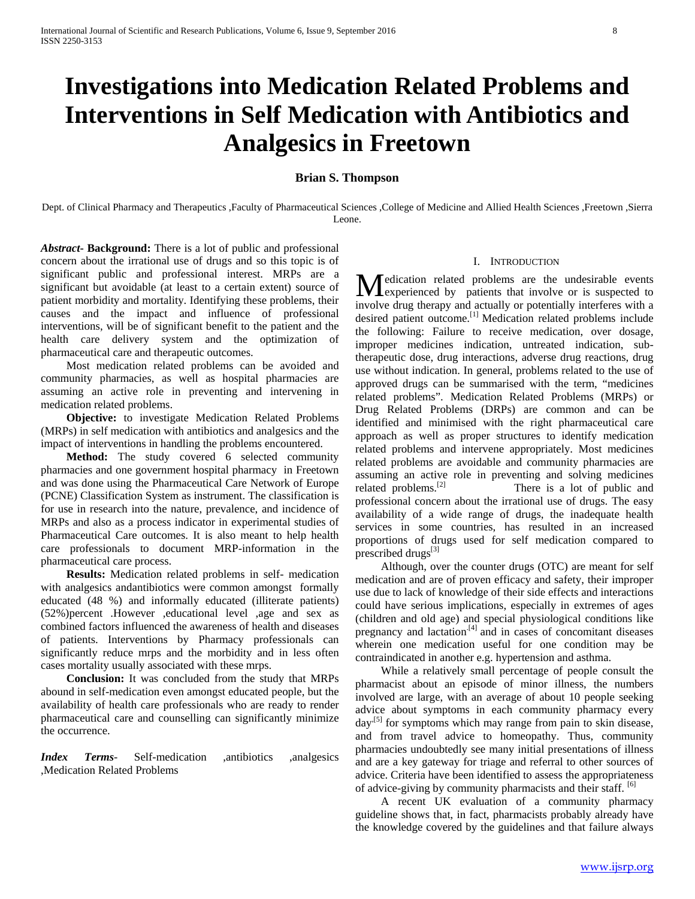# **Investigations into Medication Related Problems and Interventions in Self Medication with Antibiotics and Analgesics in Freetown**

## **Brian S. Thompson**

Dept. of Clinical Pharmacy and Therapeutics ,Faculty of Pharmaceutical Sciences ,College of Medicine and Allied Health Sciences ,Freetown ,Sierra Leone.

*Abstract***- Background:** There is a lot of public and professional concern about the irrational use of drugs and so this topic is of significant public and professional interest. MRPs are a significant but avoidable (at least to a certain extent) source of patient morbidity and mortality. Identifying these problems, their causes and the impact and influence of professional interventions, will be of significant benefit to the patient and the health care delivery system and the optimization of pharmaceutical care and therapeutic outcomes.

 Most medication related problems can be avoided and community pharmacies, as well as hospital pharmacies are assuming an active role in preventing and intervening in medication related problems.

 **Objective:** to investigate Medication Related Problems (MRPs) in self medication with antibiotics and analgesics and the impact of interventions in handling the problems encountered.

 **Method:** The study covered 6 selected community pharmacies and one government hospital pharmacy in Freetown and was done using the Pharmaceutical Care Network of Europe (PCNE) Classification System as instrument. The classification is for use in research into the nature, prevalence, and incidence of MRPs and also as a process indicator in experimental studies of Pharmaceutical Care outcomes. It is also meant to help health care professionals to document MRP-information in the pharmaceutical care process.

 **Results:** Medication related problems in self- medication with analgesics andantibiotics were common amongst formally educated (48 %) and informally educated (illiterate patients) (52%)percent .However ,educational level ,age and sex as combined factors influenced the awareness of health and diseases of patients. Interventions by Pharmacy professionals can significantly reduce mrps and the morbidity and in less often cases mortality usually associated with these mrps.

 **Conclusion:** It was concluded from the study that MRPs abound in self-medication even amongst educated people, but the availability of health care professionals who are ready to render pharmaceutical care and counselling can significantly minimize the occurrence.

*Index Terms*- Self-medication ,antibiotics ,analgesics ,Medication Related Problems

#### I. INTRODUCTION

edication related problems are the undesirable events Medication related problems are the undesirable events<br>experienced by patients that involve or is suspected to involve drug therapy and actually or potentially interferes with a desired patient outcome.<sup>[1]</sup> Medication related problems include the following: Failure to receive medication, over dosage, improper medicines indication, untreated indication, subtherapeutic dose, drug interactions, adverse drug reactions, drug use without indication. In general, problems related to the use of approved drugs can be summarised with the term, "medicines related problems". Medication Related Problems (MRPs) or Drug Related Problems (DRPs) are common and can be identified and minimised with the right pharmaceutical care approach as well as proper structures to identify medication related problems and intervene appropriately. Most medicines related problems are avoidable and community pharmacies are assuming an active role in preventing and solving medicines related problems.  $^{[2]}$  There is a lot of public and There is a lot of public and professional concern about the irrational use of drugs. The easy availability of a wide range of drugs, the inadequate health services in some countries, has resulted in an increased proportions of drugs used for self medication compared to prescribed drugs<sup>[3]</sup>

 Although, over the counter drugs (OTC) are meant for self medication and are of proven efficacy and safety, their improper use due to lack of knowledge of their side effects and interactions could have serious implications, especially in extremes of ages (children and old age) and special physiological conditions like pregnancy and lactation.[4] and in cases of concomitant diseases wherein one medication useful for one condition may be contraindicated in another e.g. hypertension and asthma.

 While a relatively small percentage of people consult the pharmacist about an episode of minor illness, the numbers involved are large, with an average of about 10 people seeking advice about symptoms in each community pharmacy every  $day$ <sup>[5]</sup> for symptoms which may range from pain to skin disease, and from travel advice to homeopathy. Thus, community pharmacies undoubtedly see many initial presentations of illness and are a key gateway for triage and referral to other sources of advice. Criteria have been identified to assess the appropriateness of advice-giving by community pharmacists and their staff.  $[6]$ 

 A recent UK evaluation of a community pharmacy guideline shows that, in fact, pharmacists probably already have the knowledge covered by the guidelines and that failure always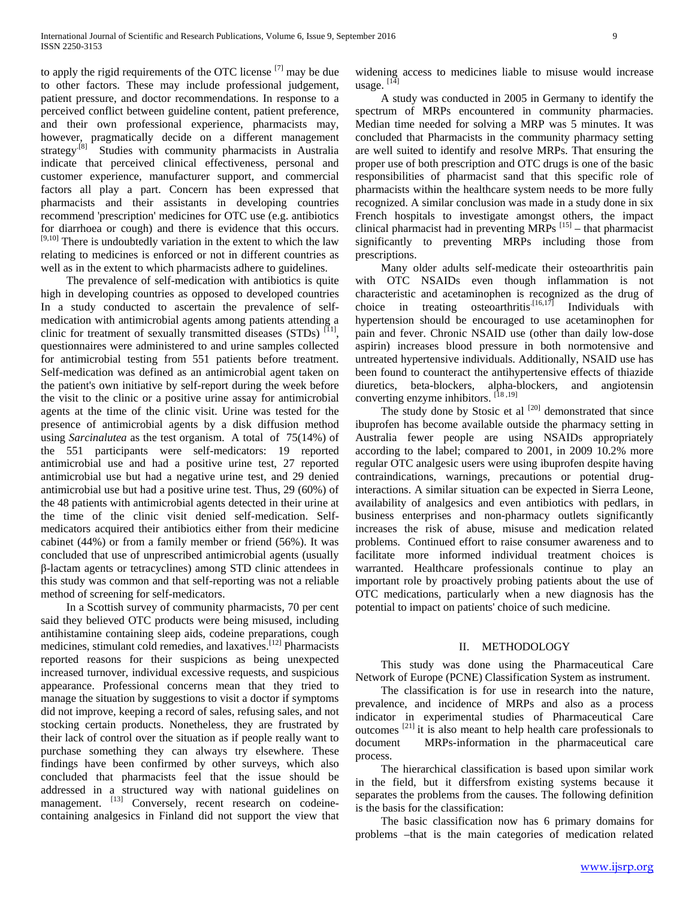to apply the rigid requirements of the OTC license [7] may be due to other factors. These may include professional judgement, patient pressure, and doctor recommendations. In response to a perceived conflict between guideline content, patient preference, and their own professional experience, pharmacists may, however, pragmatically decide on a different management strategy<sup>[8]</sup> Studies with community pharmacists in Australia indicate that perceived clinical effectiveness, personal and customer experience, manufacturer support, and commercial factors all play a part. Concern has been expressed that pharmacists and their assistants in developing countries recommend 'prescription' medicines for OTC use (e.g. antibiotics for diarrhoea or cough) and there is evidence that this occurs.  $[9,10]$  There is undoubtedly variation in the extent to which the law relating to medicines is enforced or not in different countries as well as in the extent to which pharmacists adhere to guidelines.

 The prevalence of self-medication with antibiotics is quite high in developing countries as opposed to developed countries In a study conducted to ascertain the prevalence of selfmedication with antimicrobial agents among patients attending a clinic for treatment of sexually transmitted diseases  $(STDs)$  [11], questionnaires were administered to and urine samples collected for antimicrobial testing from 551 patients before treatment. Self-medication was defined as an antimicrobial agent taken on the patient's own initiative by self-report during the week before the visit to the clinic or a positive urine assay for antimicrobial agents at the time of the clinic visit. Urine was tested for the presence of antimicrobial agents by a disk diffusion method using *Sarcinalutea* as the test organism. A total of 75(14%) of the 551 participants were self-medicators: 19 reported antimicrobial use and had a positive urine test, 27 reported antimicrobial use but had a negative urine test, and 29 denied antimicrobial use but had a positive urine test. Thus, 29 (60%) of the 48 patients with antimicrobial agents detected in their urine at the time of the clinic visit denied self-medication. Selfmedicators acquired their antibiotics either from their medicine cabinet (44%) or from a family member or friend (56%). It was concluded that use of unprescribed antimicrobial agents (usually β-lactam agents or tetracyclines) among STD clinic attendees in this study was common and that self-reporting was not a reliable method of screening for self-medicators.

 In a Scottish survey of community pharmacists, 70 per cent said they believed OTC products were being misused, including antihistamine containing sleep aids, codeine preparations, cough medicines, stimulant cold remedies, and laxatives.[12] Pharmacists reported reasons for their suspicions as being unexpected increased turnover, individual excessive requests, and suspicious appearance. Professional concerns mean that they tried to manage the situation by suggestions to visit a doctor if symptoms did not improve, keeping a record of sales, refusing sales, and not stocking certain products. Nonetheless, they are frustrated by their lack of control over the situation as if people really want to purchase something they can always try elsewhere. These findings have been confirmed by other surveys, which also concluded that pharmacists feel that the issue should be addressed in a structured way with national guidelines on management. <sup>[13]</sup> Conversely, recent research on codeinecontaining analgesics in Finland did not support the view that

widening access to medicines liable to misuse would increase usage.  $[14]$ 

 A study was conducted in 2005 in Germany to identify the spectrum of MRPs encountered in community pharmacies. Median time needed for solving a MRP was 5 minutes. It was concluded that Pharmacists in the community pharmacy setting are well suited to identify and resolve MRPs. That ensuring the proper use of both prescription and OTC drugs is one of the basic responsibilities of pharmacist sand that this specific role of pharmacists within the healthcare system needs to be more fully recognized. A similar conclusion was made in a study done in six French hospitals to investigate amongst others, the impact clinical pharmacist had in preventing  $MRPs$ <sup>[15]</sup> – that pharmacist significantly to preventing MRPs including those from prescriptions.

 Many older adults self-medicate their osteoarthritis pain with OTC NSAIDs even though inflammation is not characteristic and acetaminophen is recognized as the drug of choice in treating osteoarthritis.<sup>[16,17]</sup> Individuals with hypertension should be encouraged to use acetaminophen for pain and fever. Chronic NSAID use (other than daily low-dose aspirin) increases blood pressure in both normotensive and untreated hypertensive individuals. Additionally, NSAID use has been found to counteract the antihypertensive effects of thiazide diuretics, beta-blockers, alpha-blockers, and angiotensin converting enzyme inhibitors. [18 ,19]

The study done by Stosic et al  $[20]$  demonstrated that since ibuprofen has become available outside the pharmacy setting in Australia fewer people are using NSAIDs appropriately according to the label; compared to 2001, in 2009 10.2% more regular OTC analgesic users were using ibuprofen despite having contraindications, warnings, precautions or potential druginteractions. A similar situation can be expected in Sierra Leone, availability of analgesics and even antibiotics with pedlars, in business enterprises and non-pharmacy outlets significantly increases the risk of abuse, misuse and medication related problems. Continued effort to raise consumer awareness and to facilitate more informed individual treatment choices is warranted. Healthcare professionals continue to play an important role by proactively probing patients about the use of OTC medications, particularly when a new diagnosis has the potential to impact on patients' choice of such medicine.

#### II. METHODOLOGY

 This study was done using the Pharmaceutical Care Network of Europe (PCNE) Classification System as instrument.

 The classification is for use in research into the nature, prevalence, and incidence of MRPs and also as a process indicator in experimental studies of Pharmaceutical Care outcomes [21] it is also meant to help health care professionals to document MRPs-information in the pharmaceutical care process.

 The hierarchical classification is based upon similar work in the field, but it differsfrom existing systems because it separates the problems from the causes. The following definition is the basis for the classification:

 The basic classification now has 6 primary domains for problems –that is the main categories of medication related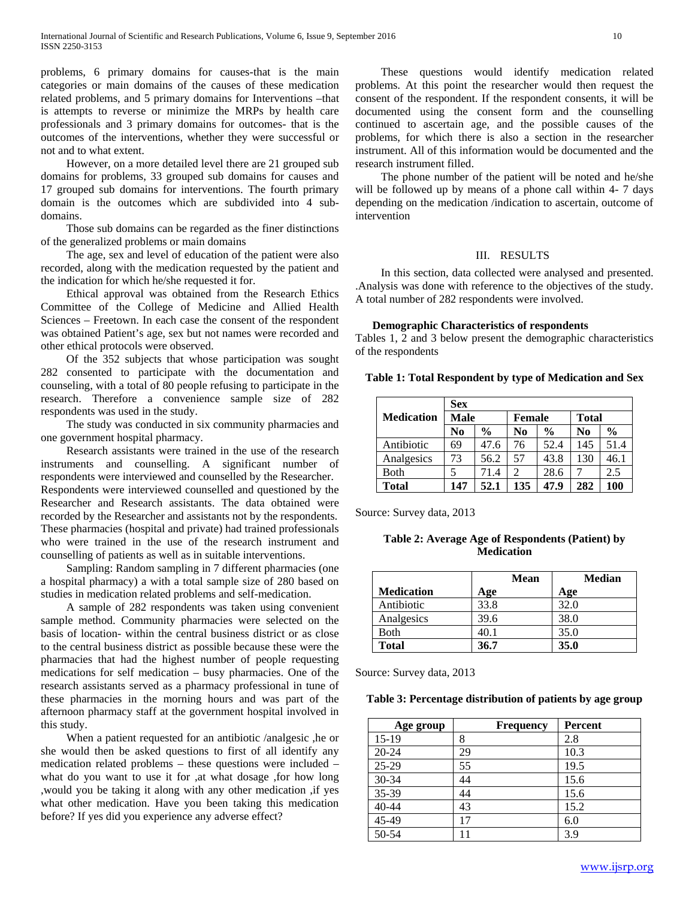problems, 6 primary domains for causes-that is the main categories or main domains of the causes of these medication related problems, and 5 primary domains for Interventions –that is attempts to reverse or minimize the MRPs by health care professionals and 3 primary domains for outcomes- that is the outcomes of the interventions, whether they were successful or not and to what extent.

 However, on a more detailed level there are 21 grouped sub domains for problems, 33 grouped sub domains for causes and 17 grouped sub domains for interventions. The fourth primary domain is the outcomes which are subdivided into 4 subdomains.

 Those sub domains can be regarded as the finer distinctions of the generalized problems or main domains

 The age, sex and level of education of the patient were also recorded, along with the medication requested by the patient and the indication for which he/she requested it for.

 Ethical approval was obtained from the Research Ethics Committee of the College of Medicine and Allied Health Sciences – Freetown. In each case the consent of the respondent was obtained Patient's age, sex but not names were recorded and other ethical protocols were observed.

 Of the 352 subjects that whose participation was sought 282 consented to participate with the documentation and counseling, with a total of 80 people refusing to participate in the research. Therefore a convenience sample size of 282 respondents was used in the study.

 The study was conducted in six community pharmacies and one government hospital pharmacy.

 Research assistants were trained in the use of the research instruments and counselling. A significant number of respondents were interviewed and counselled by the Researcher. Respondents were interviewed counselled and questioned by the Researcher and Research assistants. The data obtained were recorded by the Researcher and assistants not by the respondents. These pharmacies (hospital and private) had trained professionals who were trained in the use of the research instrument and counselling of patients as well as in suitable interventions.

 Sampling: Random sampling in 7 different pharmacies (one a hospital pharmacy) a with a total sample size of 280 based on studies in medication related problems and self-medication.

 A sample of 282 respondents was taken using convenient sample method. Community pharmacies were selected on the basis of location- within the central business district or as close to the central business district as possible because these were the pharmacies that had the highest number of people requesting medications for self medication – busy pharmacies. One of the research assistants served as a pharmacy professional in tune of these pharmacies in the morning hours and was part of the afternoon pharmacy staff at the government hospital involved in this study.

 When a patient requested for an antibiotic /analgesic ,he or she would then be asked questions to first of all identify any medication related problems – these questions were included – what do you want to use it for ,at what dosage ,for how long ,would you be taking it along with any other medication ,if yes what other medication. Have you been taking this medication before? If yes did you experience any adverse effect?

 These questions would identify medication related problems. At this point the researcher would then request the consent of the respondent. If the respondent consents, it will be documented using the consent form and the counselling continued to ascertain age, and the possible causes of the problems, for which there is also a section in the researcher instrument. All of this information would be documented and the research instrument filled.

 The phone number of the patient will be noted and he/she will be followed up by means of a phone call within 4- 7 days depending on the medication /indication to ascertain, outcome of intervention

#### III. RESULTS

 In this section, data collected were analysed and presented. .Analysis was done with reference to the objectives of the study. A total number of 282 respondents were involved.

#### **Demographic Characteristics of respondents**

Tables 1, 2 and 3 below present the demographic characteristics of the respondents

#### **Table 1: Total Respondent by type of Medication and Sex**

|                   | <b>Sex</b> |               |                             |               |              |               |  |  |
|-------------------|------------|---------------|-----------------------------|---------------|--------------|---------------|--|--|
| <b>Medication</b> | Male       |               | <b>Female</b>               |               | <b>Total</b> |               |  |  |
|                   | No         | $\frac{0}{0}$ | No                          | $\frac{0}{0}$ | No           | $\frac{0}{0}$ |  |  |
| Antibiotic        | 69         | 47.6          | 76                          | 52.4          | 145          | 51.4          |  |  |
| Analgesics        | 73         | 56.2          | 57                          | 43.8          | 130          | 46.1          |  |  |
| <b>Both</b>       |            | 71.4          | $\mathcal{D}_{\mathcal{L}}$ | 28.6          |              | 2.5           |  |  |
| <b>Total</b>      | 147        | 52.1          | 135                         | 47.9          | 282          | 100           |  |  |

Source: Survey data, 2013

**Table 2: Average Age of Respondents (Patient) by Medication**

|                   | Mean | <b>Median</b> |
|-------------------|------|---------------|
| <b>Medication</b> | Age  | Age           |
| Antibiotic        | 33.8 | 32.0          |
| Analgesics        | 39.6 | 38.0          |
| Both              | 40.1 | 35.0          |
| <b>Total</b>      | 36.7 | 35.0          |

Source: Survey data, 2013

#### **Table 3: Percentage distribution of patients by age group**

| Age group | <b>Frequency</b> | Percent |
|-----------|------------------|---------|
| $15-19$   | 8                | 2.8     |
| $20 - 24$ | 29               | 10.3    |
| $25-29$   | 55               | 19.5    |
| 30-34     | 44               | 15.6    |
| 35-39     | 44               | 15.6    |
| 40-44     | 43               | 15.2    |
| 45-49     | 17               | 6.0     |
| 50-54     |                  | 3.9     |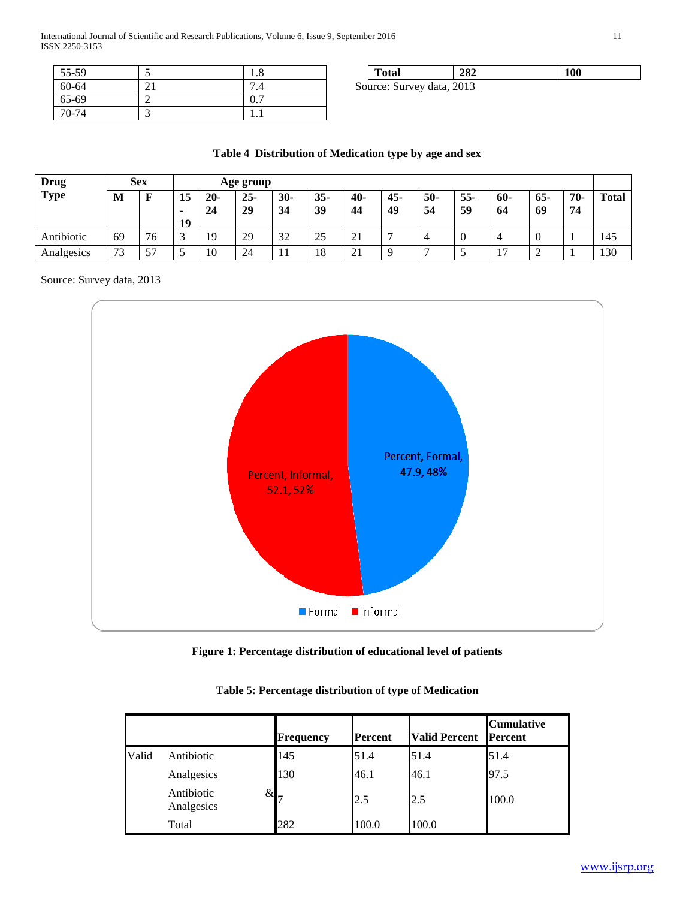International Journal of Scientific and Research Publications, Volume 6, Issue 9, September 2016 11 ISSN 2250-3153

| 55-59 | 1.0 |
|-------|-----|
| 60-64 | ۰.4 |
| 65-69 | 0.7 |
| 70-74 |     |

**Total 282 100** Source: Survey data, 2013

## **Table 4 Distribution of Medication type by age and sex**

| <b>Drug</b> | <b>Sex</b> |    |               |              | Age group    |             |              |             |           |           |              |                       |             |           |       |
|-------------|------------|----|---------------|--------------|--------------|-------------|--------------|-------------|-----------|-----------|--------------|-----------------------|-------------|-----------|-------|
| <b>Type</b> | M          | F  | 15<br>٠<br>19 | $20 -$<br>24 | $25 -$<br>29 | $30-$<br>34 | $35 -$<br>39 | $40-$<br>44 | 45-<br>49 | 50-<br>54 | $55 -$<br>59 | $60 -$<br>64          | $65-$<br>69 | 70-<br>74 | Total |
| Antibiotic  | 69         | 76 | $\sqrt{2}$    | 19           | 29           | 32          | 25           | 21          | -         |           |              |                       |             |           | 145   |
| Analgesics  | 73         | 57 |               | 10           | 24           | -11         | 18           | 21          | $\Omega$  | −         | ້            | 1 <sub>7</sub><br>. . | ∽           |           | 130   |

Source: Survey data, 2013



**Figure 1: Percentage distribution of educational level of patients**

|       |                          | <b>Frequency</b>   | Percent | <b>Valid Percent</b> | <b>Cumulative</b><br><b>Percent</b> |
|-------|--------------------------|--------------------|---------|----------------------|-------------------------------------|
| Valid | Antibiotic               | 145                | 51.4    | 51.4                 | 51.4                                |
|       | Analgesics               | 130                | 46.1    | 46.1                 | 97.5                                |
|       | Antibiotic<br>Analgesics | $\&\right _{\tau}$ | 2.5     | 2.5                  | 100.0                               |
|       | Total                    | 282                | 100.0   | 100.0                |                                     |

**Table 5: Percentage distribution of type of Medication**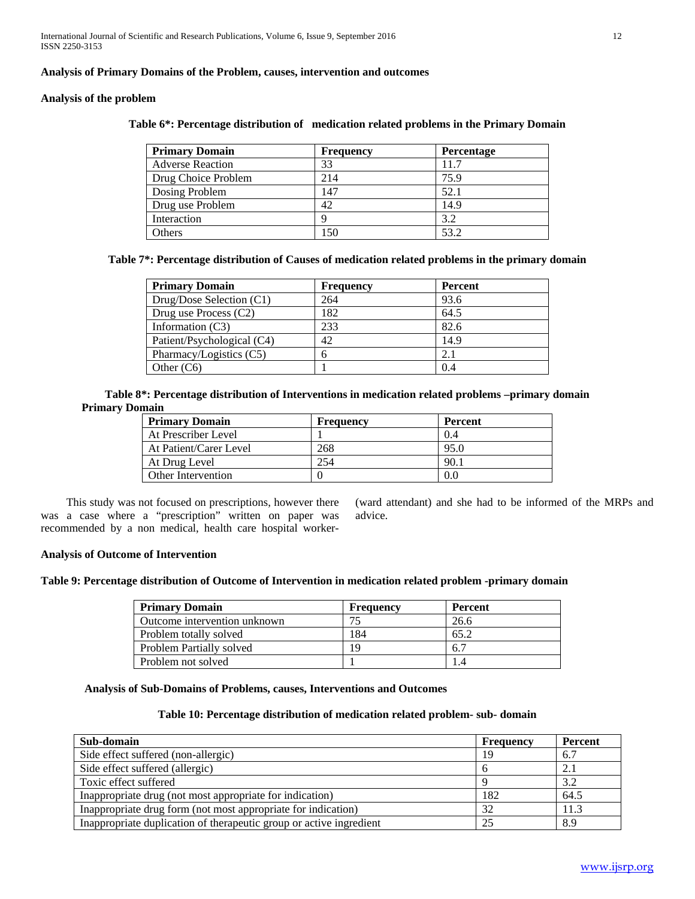## **Analysis of Primary Domains of the Problem, causes, intervention and outcomes**

#### **Analysis of the problem**

| <b>Primary Domain</b>   | <b>Frequency</b> | <b>Percentage</b> |
|-------------------------|------------------|-------------------|
| <b>Adverse Reaction</b> | 33               | 11.7              |
| Drug Choice Problem     | 214              | 75.9              |
| Dosing Problem          | 147              | 52.1              |
| Drug use Problem        | 42               | 14.9              |
| Interaction             | Q                | 3.2               |
| Others                  | 150              | 53.2              |

## **Table 6\*: Percentage distribution of medication related problems in the Primary Domain**

**Table 7\*: Percentage distribution of Causes of medication related problems in the primary domain**

| <b>Primary Domain</b>      | <b>Frequency</b> | <b>Percent</b> |
|----------------------------|------------------|----------------|
| Drug/Dose Selection (C1)   | 264              | 93.6           |
| Drug use Process (C2)      | 182              | 64.5           |
| Information $(C3)$         | 233              | 82.6           |
| Patient/Psychological (C4) | 42               | 14.9           |
| Pharmacy/Logistics (C5)    | h                | 2.1            |
| Other $(C6)$               |                  | 0.4            |

**Table 8\*: Percentage distribution of Interventions in medication related problems –primary domain Primary Domain**

| <b>Primary Domain</b>  | Frequency | Percent |
|------------------------|-----------|---------|
| At Prescriber Level    |           | 0.4     |
| At Patient/Carer Level | 268       | 95.0    |
| At Drug Level          | 254       | 90.1    |
| Other Intervention     |           | 0.0     |

 This study was not focused on prescriptions, however there was a case where a "prescription" written on paper was recommended by a non medical, health care hospital worker(ward attendant) and she had to be informed of the MRPs and advice.

## **Analysis of Outcome of Intervention**

# **Table 9: Percentage distribution of Outcome of Intervention in medication related problem -primary domain**

| <b>Primary Domain</b>        | Frequency | Percent |
|------------------------------|-----------|---------|
| Outcome intervention unknown | 75        | 26.6    |
| Problem totally solved       | 184       | 65.2    |
| Problem Partially solved     | 19        | 6.7     |
| Problem not solved           |           |         |

## **Analysis of Sub-Domains of Problems, causes, Interventions and Outcomes**

## **Table 10: Percentage distribution of medication related problem- sub- domain**

| Sub-domain                                                          | Frequency | Percent |
|---------------------------------------------------------------------|-----------|---------|
| Side effect suffered (non-allergic)                                 | 19        | 6.7     |
| Side effect suffered (allergic)                                     |           | 2.1     |
| Toxic effect suffered                                               |           | 3.2     |
| Inappropriate drug (not most appropriate for indication)            | 182       | 64.5    |
| Inappropriate drug form (not most appropriate for indication)       | 32        | 11.3    |
| Inappropriate duplication of therapeutic group or active ingredient | 25        | 8.9     |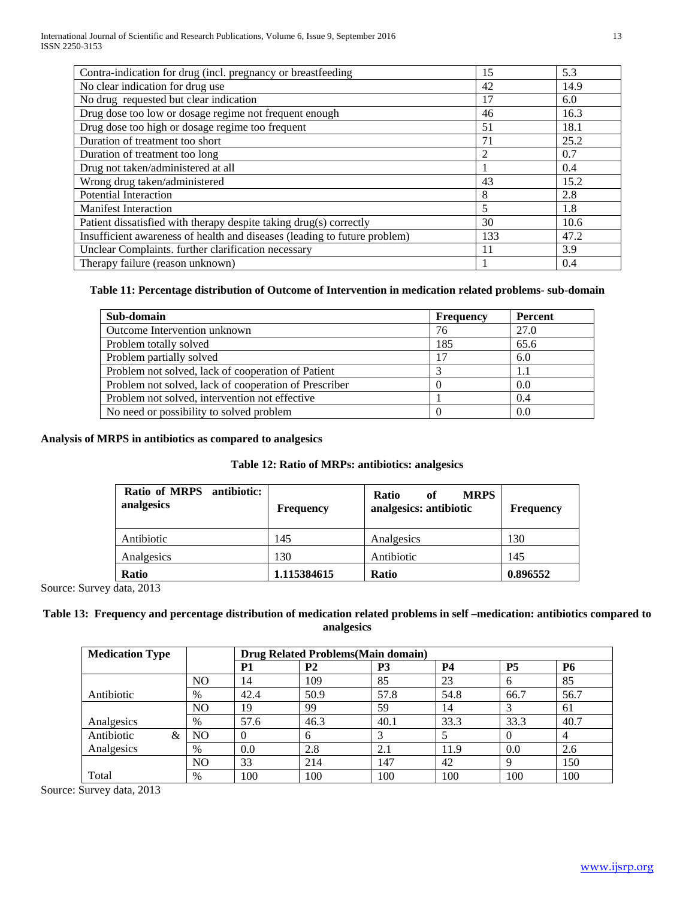| Contra-indication for drug (incl. pregnancy or breastfeeding              | 15             | 5.3  |
|---------------------------------------------------------------------------|----------------|------|
| No clear indication for drug use                                          | 42             | 14.9 |
| No drug requested but clear indication                                    | 17             | 6.0  |
| Drug dose too low or dosage regime not frequent enough                    | 46             | 16.3 |
| Drug dose too high or dosage regime too frequent                          | 51             | 18.1 |
| Duration of treatment too short                                           | 71             | 25.2 |
| Duration of treatment too long                                            | $\overline{2}$ | 0.7  |
| Drug not taken/administered at all                                        |                | 0.4  |
| Wrong drug taken/administered                                             | 43             | 15.2 |
| <b>Potential Interaction</b>                                              | 8              | 2.8  |
| <b>Manifest Interaction</b>                                               | 5              | 1.8  |
| Patient dissatisfied with therapy despite taking drug(s) correctly        | 30             | 10.6 |
| Insufficient awareness of health and diseases (leading to future problem) | 133            | 47.2 |
| Unclear Complaints. further clarification necessary                       | 11             | 3.9  |
| Therapy failure (reason unknown)                                          |                | 0.4  |

## **Table 11: Percentage distribution of Outcome of Intervention in medication related problems- sub-domain**

| Sub-domain                                            | <b>Frequency</b> | Percent |
|-------------------------------------------------------|------------------|---------|
| Outcome Intervention unknown                          | 76               | 27.0    |
| Problem totally solved                                | 185              | 65.6    |
| Problem partially solved                              | 17               | 6.0     |
| Problem not solved, lack of cooperation of Patient    |                  | 1.1     |
| Problem not solved, lack of cooperation of Prescriber |                  | 0.0     |
| Problem not solved, intervention not effective        |                  | 0.4     |
| No need or possibility to solved problem              |                  | 0.0     |

## **Analysis of MRPS in antibiotics as compared to analgesics**

## **Table 12: Ratio of MRPs: antibiotics: analgesics**

| Ratio of MRPS antibiotic:<br>analgesics | <b>Frequency</b> | <b>MRPS</b><br><b>Ratio</b><br>of<br>analgesics: antibiotic | <b>Frequency</b> |
|-----------------------------------------|------------------|-------------------------------------------------------------|------------------|
| Antibiotic                              | 145              | Analgesics                                                  | 130              |
| Analgesics                              | 130              | Antibiotic                                                  | 145              |
| <b>Ratio</b>                            | 1.115384615      | <b>Ratio</b>                                                | 0.896552         |

Source: Survey data, 2013

## **Table 13: Frequency and percentage distribution of medication related problems in self –medication: antibiotics compared to analgesics**

| <b>Medication Type</b> |                |           | Drug Related Problems (Main domain) |           |           |           |           |
|------------------------|----------------|-----------|-------------------------------------|-----------|-----------|-----------|-----------|
|                        |                | <b>P1</b> | P <sub>2</sub>                      | <b>P3</b> | <b>P4</b> | <b>P5</b> | <b>P6</b> |
|                        | N <sub>O</sub> | 14        | 109                                 | 85        | 23        | 6         | 85        |
| Antibiotic             | $\%$           | 42.4      | 50.9                                | 57.8      | 54.8      | 66.7      | 56.7      |
|                        | N <sub>O</sub> | 19        | 99                                  | 59        | 14        | 3         | 61        |
| Analgesics             | $\%$           | 57.6      | 46.3                                | 40.1      | 33.3      | 33.3      | 40.7      |
| Antibiotic<br>&        | N <sub>O</sub> |           | 6                                   | 3         |           | $\theta$  | 4         |
| Analgesics             | $\%$           | 0.0       | 2.8                                 | 2.1       | 11.9      | 0.0       | 2.6       |
|                        | N <sub>O</sub> | 33        | 214                                 | 147       | 42        | $\Omega$  | 150       |
| Total                  | %              | 100       | 100                                 | 100       | 100       | 100       | 100       |

Source: Survey data, 2013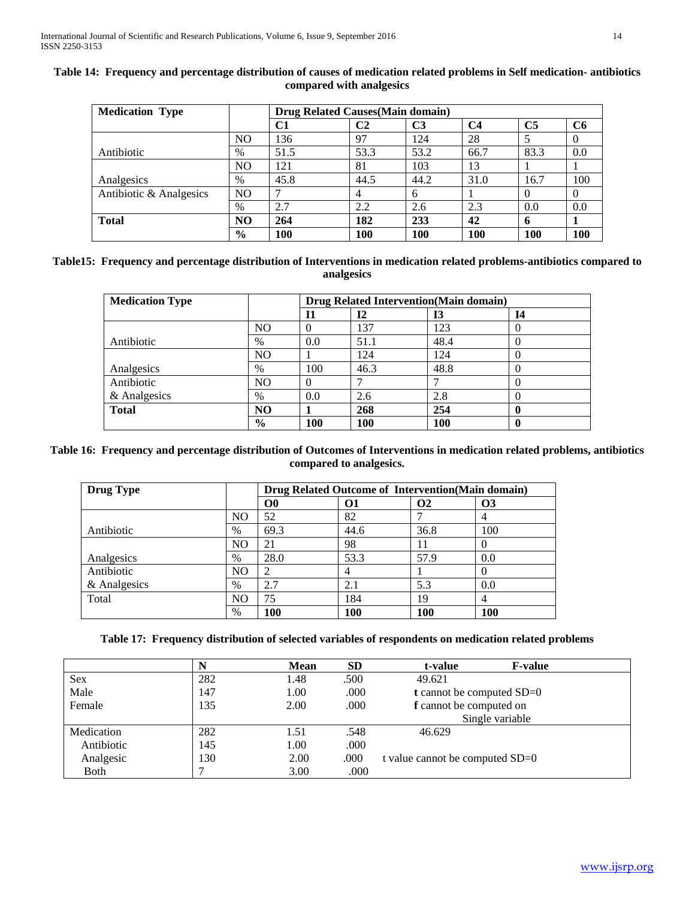| <b>Medication Type</b>  |                |      | <b>Drug Related Causes (Main domain)</b> |                |                |                |     |
|-------------------------|----------------|------|------------------------------------------|----------------|----------------|----------------|-----|
|                         |                | C1   | C2                                       | C <sub>3</sub> | C <sub>4</sub> | C <sub>5</sub> | C6  |
|                         | N <sub>O</sub> | 136  | 97                                       | 124            | 28             |                |     |
| Antibiotic              | $\%$           | 51.5 | 53.3                                     | 53.2           | 66.7           | 83.3           | 0.0 |
|                         | N <sub>O</sub> | 121  | 81                                       | 103            | 13             |                |     |
| Analgesics              | $\%$           | 45.8 | 44.5                                     | 44.2           | 31.0           | 16.7           | 100 |
| Antibiotic & Analgesics | N <sub>O</sub> |      |                                          | 6              |                |                |     |
|                         | $\%$           | 2.7  | 2.2                                      | 2.6            | 2.3            | 0.0            | 0.0 |
| <b>Total</b>            | N <sub>O</sub> | 264  | 182                                      | 233            | 42             |                |     |
|                         | $\frac{6}{9}$  | 100  | 100                                      | 100            | 100            | <b>100</b>     | 100 |

# **Table 14: Frequency and percentage distribution of causes of medication related problems in Self medication- antibiotics compared with analgesics**

## **Table15: Frequency and percentage distribution of Interventions in medication related problems-antibiotics compared to analgesics**

| <b>Medication Type</b> |                | <b>Drug Related Intervention (Main domain)</b> |      |      |    |
|------------------------|----------------|------------------------------------------------|------|------|----|
|                        |                | 11                                             | 12   | 13   | 14 |
|                        | N <sub>O</sub> | 0                                              | 137  | 123  |    |
| Antibiotic             | $\%$           | 0.0                                            | 51.1 | 48.4 |    |
|                        | NO             |                                                | 124  | 124  |    |
| Analgesics             | $\%$           | 100                                            | 46.3 | 48.8 |    |
| Antibiotic             | NO             | 0                                              |      |      |    |
| & Analgesics           | $\%$           | 0.0                                            | 2.6  | 2.8  |    |
| <b>Total</b>           | N <sub>O</sub> |                                                | 268  | 254  |    |
|                        | $\frac{6}{9}$  | <b>100</b>                                     | 100  | 100  |    |

## **Table 16: Frequency and percentage distribution of Outcomes of Interventions in medication related problems, antibiotics compared to analgesics.**

| <b>Drug Type</b> |                | Drug Related Outcome of Intervention(Main domain) |      |                      |            |
|------------------|----------------|---------------------------------------------------|------|----------------------|------------|
|                  |                | $\bf{O}0$                                         | 01   | <b>O<sub>2</sub></b> | <b>O3</b>  |
|                  | N <sub>O</sub> | 52                                                | 82   |                      | 4          |
| Antibiotic       | $\%$           | 69.3                                              | 44.6 | 36.8                 | 100        |
|                  | NO             | 21                                                | 98   | 11                   | 0          |
| Analgesics       | $\%$           | 28.0                                              | 53.3 | 57.9                 | 0.0        |
| Antibiotic       | NO             | ◠                                                 | 4    |                      | 0          |
| & Analgesics     | $\%$           | 2.7                                               | 2.1  | 5.3                  | 0.0        |
| Total            | NO             | 75                                                | 184  | 19                   | 4          |
|                  | $\%$           | 100                                               | 100  | 100                  | <b>100</b> |

## **Table 17: Frequency distribution of selected variables of respondents on medication related problems**

|            | N   | <b>Mean</b> | <b>SD</b> | <b>F-value</b><br>t-value          |
|------------|-----|-------------|-----------|------------------------------------|
| Sex        | 282 | 1.48        | .500      | 49.621                             |
| Male       | 147 | 1.00        | .000      | <b>t</b> cannot be computed $SD=0$ |
| Female     | 135 | 2.00        | .000      | f cannot be computed on            |
|            |     |             |           | Single variable                    |
| Medication | 282 | 1.51        | .548      | 46.629                             |
| Antibiotic | 145 | 1.00        | .000      |                                    |
| Analgesic  | 130 | 2.00        | .000      | t value cannot be computed $SD=0$  |
| Both       |     | 3.00        | .000      |                                    |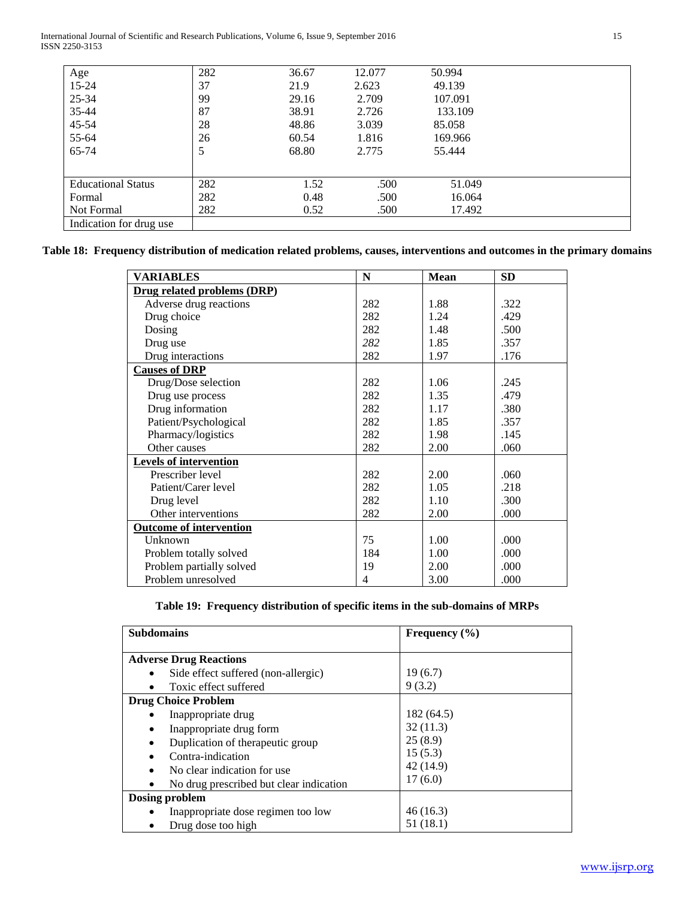International Journal of Scientific and Research Publications, Volume 6, Issue 9, September 2016 15 ISSN 2250-3153

| Age                       | 282 | 36.67 | 12.077 | 50.994  |
|---------------------------|-----|-------|--------|---------|
| 15-24                     | 37  | 21.9  | 2.623  | 49.139  |
| 25-34                     | 99  | 29.16 | 2.709  | 107.091 |
| 35-44                     | 87  | 38.91 | 2.726  | 133.109 |
| 45-54                     | 28  | 48.86 | 3.039  | 85.058  |
| 55-64                     | 26  | 60.54 | 1.816  | 169.966 |
| 65-74                     | 5   | 68.80 | 2.775  | 55.444  |
|                           |     |       |        |         |
|                           |     |       |        |         |
| <b>Educational Status</b> | 282 | 1.52  | .500   | 51.049  |
| Formal                    | 282 | 0.48  | .500   | 16.064  |
| Not Formal                | 282 | 0.52  | .500   | 17.492  |
| Indication for drug use   |     |       |        |         |

**Table 18: Frequency distribution of medication related problems, causes, interventions and outcomes in the primary domains**

| <b>VARIABLES</b>               | $\mathbf N$ | <b>Mean</b> | <b>SD</b> |
|--------------------------------|-------------|-------------|-----------|
| Drug related problems (DRP)    |             |             |           |
| Adverse drug reactions         | 282         | 1.88        | .322      |
| Drug choice                    | 282         | 1.24        | .429      |
| Dosing                         | 282         | 1.48        | .500      |
| Drug use                       | 282         | 1.85        | .357      |
| Drug interactions              | 282         | 1.97        | .176      |
| <b>Causes of DRP</b>           |             |             |           |
| Drug/Dose selection            | 282         | 1.06        | .245      |
| Drug use process               | 282         | 1.35        | .479      |
| Drug information               | 282         | 1.17        | .380      |
| Patient/Psychological          | 282         | 1.85        | .357      |
| Pharmacy/logistics             | 282         | 1.98        | .145      |
| Other causes                   | 282         | 2.00        | .060      |
| <b>Levels of intervention</b>  |             |             |           |
| Prescriber level               | 282         | 2.00        | .060      |
| Patient/Carer level            | 282         | 1.05        | .218      |
| Drug level                     | 282         | 1.10        | .300      |
| Other interventions            | 282         | 2.00        | .000      |
| <b>Outcome of intervention</b> |             |             |           |
| Unknown                        | 75          | 1.00        | .000      |
| Problem totally solved         | 184         | 1.00        | .000      |
| Problem partially solved       | 19          | 2.00        | .000      |
| Problem unresolved             | 4           | 3.00        | .000      |

|  |  | Table 19: Frequency distribution of specific items in the sub-domains of MRPs |  |  |  |  |  |
|--|--|-------------------------------------------------------------------------------|--|--|--|--|--|
|--|--|-------------------------------------------------------------------------------|--|--|--|--|--|

| <b>Subdomains</b>                       | Frequency $(\% )$ |
|-----------------------------------------|-------------------|
| <b>Adverse Drug Reactions</b>           |                   |
| Side effect suffered (non-allergic)     | 19(6.7)           |
| Toxic effect suffered                   | 9(3.2)            |
| <b>Drug Choice Problem</b>              |                   |
| Inappropriate drug                      | 182 (64.5)        |
| Inappropriate drug form<br>٠            | 32(11.3)          |
| Duplication of therapeutic group        | 25(8.9)           |
| Contra-indication                       | 15(5.3)           |
| No clear indication for use.            | 42 (14.9)         |
| No drug prescribed but clear indication | 17(6.0)           |
| Dosing problem                          |                   |
| Inappropriate dose regimen too low      | 46(16.3)          |
| Drug dose too high                      | 51 (18.1)         |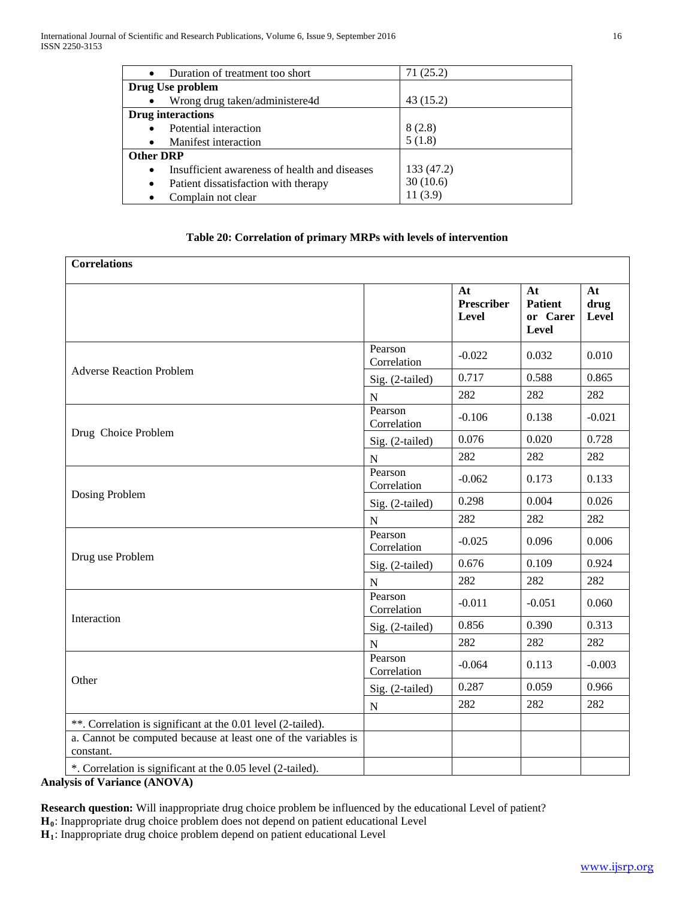| $\bullet$        | Duration of treatment too short               | 71(25.2)   |
|------------------|-----------------------------------------------|------------|
|                  | Drug Use problem                              |            |
|                  | Wrong drug taken/administere4d                | 43 (15.2)  |
|                  | <b>Drug</b> interactions                      |            |
|                  | Potential interaction                         | 8(2.8)     |
|                  | Manifest interaction                          | 5(1.8)     |
| <b>Other DRP</b> |                                               |            |
| $\bullet$        | Insufficient awareness of health and diseases | 133 (47.2) |
| $\bullet$        | Patient dissatisfaction with therapy          | 30(10.6)   |
|                  | Complain not clear                            | 11(3.9)    |

## **Table 20: Correlation of primary MRPs with levels of intervention**

| <b>Correlations</b>                                                         |                        |                                  |                                                  |                     |
|-----------------------------------------------------------------------------|------------------------|----------------------------------|--------------------------------------------------|---------------------|
|                                                                             |                        | At<br><b>Prescriber</b><br>Level | At<br><b>Patient</b><br>or Carer<br><b>Level</b> | At<br>drug<br>Level |
|                                                                             | Pearson<br>Correlation | $-0.022$                         | 0.032                                            | 0.010               |
| <b>Adverse Reaction Problem</b>                                             | Sig. (2-tailed)        | 0.717                            | 0.588                                            | 0.865               |
|                                                                             | ${\bf N}$              | 282                              | 282                                              | 282                 |
|                                                                             | Pearson<br>Correlation | $-0.106$                         | 0.138                                            | $-0.021$            |
| Drug Choice Problem                                                         | Sig. (2-tailed)        | 0.076                            | 0.020                                            | 0.728               |
|                                                                             | ${\bf N}$              | 282                              | 282                                              | 282                 |
|                                                                             | Pearson<br>Correlation | $-0.062$                         | 0.173                                            | 0.133               |
| Dosing Problem                                                              | Sig. (2-tailed)        | 0.298                            | 0.004                                            | 0.026               |
|                                                                             | $\mathbf N$            | 282                              | 282                                              | 282                 |
|                                                                             | Pearson<br>Correlation | $-0.025$                         | 0.096                                            | 0.006               |
| Drug use Problem                                                            | Sig. (2-tailed)        | 0.676                            | 0.109                                            | 0.924               |
|                                                                             | ${\bf N}$              | 282                              | 282                                              | 282                 |
|                                                                             | Pearson<br>Correlation | $-0.011$                         | $-0.051$                                         | 0.060               |
| Interaction                                                                 | Sig. (2-tailed)        | 0.856                            | 0.390                                            | 0.313               |
|                                                                             | ${\bf N}$              | 282                              | 282                                              | 282                 |
|                                                                             | Pearson<br>Correlation | $-0.064$                         | 0.113                                            | $-0.003$            |
| Other                                                                       | Sig. (2-tailed)        | 0.287                            | 0.059                                            | 0.966               |
|                                                                             | ${\bf N}$              | 282                              | 282                                              | 282                 |
| **. Correlation is significant at the 0.01 level (2-tailed).                |                        |                                  |                                                  |                     |
| a. Cannot be computed because at least one of the variables is<br>constant. |                        |                                  |                                                  |                     |
| *. Correlation is significant at the 0.05 level (2-tailed).                 |                        |                                  |                                                  |                     |

**Analysis of Variance (ANOVA)**

**Research question:** Will inappropriate drug choice problem be influenced by the educational Level of patient?

**H0**: Inappropriate drug choice problem does not depend on patient educational Level

**H1**: Inappropriate drug choice problem depend on patient educational Level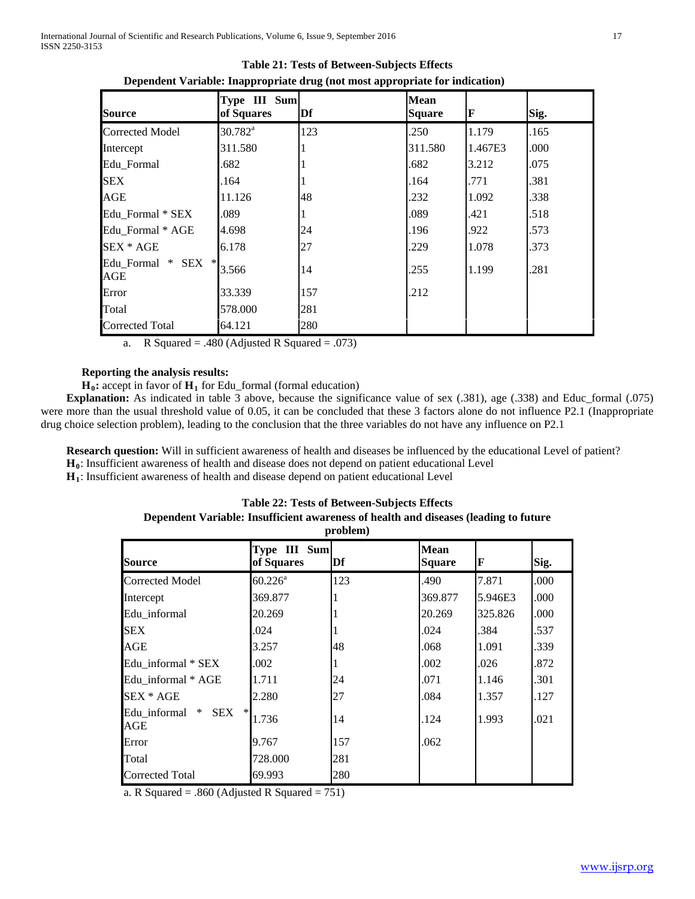| <b>Source</b>                     | Type III Sum<br>of Squares | Df  | <b>Mean</b><br><b>Square</b> | F       | Sig. |
|-----------------------------------|----------------------------|-----|------------------------------|---------|------|
| <b>Corrected Model</b>            | $30.782^a$                 | 123 | .250                         | 1.179   | .165 |
| Intercept                         | 311.580                    |     | 311.580                      | 1.467E3 | .000 |
| Edu Formal                        | .682                       |     | .682                         | 3.212   | .075 |
| <b>SEX</b>                        | .164                       |     | .164                         | .771    | .381 |
| AGE                               | 11.126                     | 48  | .232                         | 1.092   | .338 |
| Edu Formal * SEX                  | .089                       |     | .089                         | .421    | .518 |
| Edu Formal * AGE                  | 4.698                      | 24  | .196                         | .922    | .573 |
| SEX * AGE                         | 6.178                      | 27  | .229                         | 1.078   | .373 |
| Edu Formal * SEX<br>$\ast$<br>AGE | 3.566                      | 14  | .255                         | 1.199   | .281 |
| Error                             | 33.339                     | 157 | .212                         |         |      |
| Total                             | 578.000                    | 281 |                              |         |      |
| <b>Corrected Total</b>            | 64.121                     | 280 |                              |         |      |

**Table 21: Tests of Between-Subjects Effects Dependent Variable: Inappropriate drug (not most appropriate for indication)**

a. R Squared = .480 (Adjusted R Squared = .073)

## **Reporting the analysis results:**

 $H_0$ : accept in favor of  $H_1$  for Edu\_formal (formal education)

 **Explanation:** As indicated in table 3 above, because the significance value of sex (.381), age (.338) and Educ\_formal (.075) were more than the usual threshold value of 0.05, it can be concluded that these 3 factors alone do not influence P2.1 (Inappropriate drug choice selection problem), leading to the conclusion that the three variables do not have any influence on P2.1

 **Research question:** Will in sufficient awareness of health and diseases be influenced by the educational Level of patient? **H0**: Insufficient awareness of health and disease does not depend on patient educational Level

**H1**: Insufficient awareness of health and disease depend on patient educational Level

### **Table 22: Tests of Between-Subjects Effects**

#### **Dependent Variable: Insufficient awareness of health and diseases (leading to future problem)**

| <b>Source</b>             | Type III Sum<br>of Squares | Df  | <b>Mean</b><br><b>Square</b> | IF      | Sig. |
|---------------------------|----------------------------|-----|------------------------------|---------|------|
| <b>Corrected Model</b>    | $60.226^{\rm a}$           | 123 | .490                         | 7.871   | .000 |
| Intercept                 | 369.877                    |     | 369.877                      | 5.946E3 | .000 |
| Edu informal              | 20.269                     |     | 20.269                       | 325.826 | .000 |
| SEX                       | .024                       |     | .024                         | .384    | .537 |
| AGE                       | 3.257                      | 48  | .068                         | 1.091   | .339 |
| Edu_informal * SEX        | .002                       |     | .002                         | .026    | .872 |
| Edu informal * AGE        | 1.711                      | 24  | .071                         | 1.146   | .301 |
| SEX * AGE                 | 2.280                      | 27  | .084                         | 1.357   | .127 |
| Edu_informal * SEX<br>AGE | 1.736                      | 14  | .124                         | 1.993   | .021 |
| Error                     | 9.767                      | 157 | .062                         |         |      |
| Total                     | 728.000                    | 281 |                              |         |      |
| Corrected Total           | 69.993                     | 280 |                              |         |      |

a. R Squared = .860 (Adjusted R Squared = 751)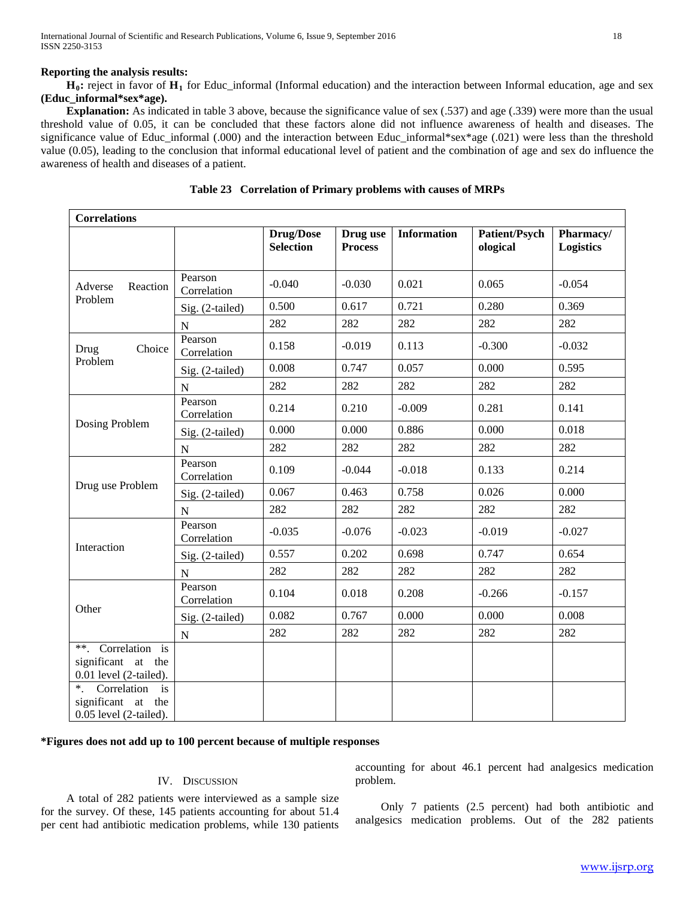#### **Reporting the analysis results:**

 **H0:** reject in favor of **H1** for Educ\_informal (Informal education) and the interaction between Informal education, age and sex **(Educ\_informal\*sex\*age).**

 **Explanation:** As indicated in table 3 above, because the significance value of sex (.537) and age (.339) were more than the usual threshold value of 0.05, it can be concluded that these factors alone did not influence awareness of health and diseases. The significance value of Educ\_informal (.000) and the interaction between Educ\_informal\*sex\*age (.021) were less than the threshold value (0.05), leading to the conclusion that informal educational level of patient and the combination of age and sex do influence the awareness of health and diseases of a patient.

| <b>Correlations</b>                                                                                |                        |                                      |                            |                    |                           |                               |
|----------------------------------------------------------------------------------------------------|------------------------|--------------------------------------|----------------------------|--------------------|---------------------------|-------------------------------|
|                                                                                                    |                        | <b>Drug/Dose</b><br><b>Selection</b> | Drug use<br><b>Process</b> | <b>Information</b> | Patient/Psych<br>ological | Pharmacy/<br><b>Logistics</b> |
| Reaction<br>Adverse                                                                                | Pearson<br>Correlation | $-0.040$                             | $-0.030$                   | 0.021              | 0.065                     | $-0.054$                      |
| Problem                                                                                            | Sig. (2-tailed)        | 0.500                                | 0.617                      | 0.721              | 0.280                     | 0.369                         |
|                                                                                                    | $\mathbf N$            | 282                                  | 282                        | 282                | 282                       | 282                           |
| Drug<br>Choice                                                                                     | Pearson<br>Correlation | 0.158                                | $-0.019$                   | 0.113              | $-0.300$                  | $-0.032$                      |
| Problem                                                                                            | Sig. (2-tailed)        | 0.008                                | 0.747                      | 0.057              | 0.000                     | 0.595                         |
|                                                                                                    | $\mathbf N$            | 282                                  | 282                        | 282                | 282                       | 282                           |
|                                                                                                    | Pearson<br>Correlation | 0.214                                | 0.210                      | $-0.009$           | 0.281                     | 0.141                         |
| Dosing Problem                                                                                     | Sig. (2-tailed)        | 0.000                                | 0.000                      | 0.886              | 0.000                     | 0.018                         |
|                                                                                                    | $\mathbf N$            | 282                                  | 282                        | 282                | 282                       | 282                           |
|                                                                                                    | Pearson<br>Correlation | 0.109                                | $-0.044$                   | $-0.018$           | 0.133                     | 0.214                         |
| Drug use Problem                                                                                   | Sig. (2-tailed)        | 0.067                                | 0.463                      | 0.758              | 0.026                     | 0.000                         |
|                                                                                                    | ${\bf N}$              | 282                                  | 282                        | 282                | 282                       | 282                           |
|                                                                                                    | Pearson<br>Correlation | $-0.035$                             | $-0.076$                   | $-0.023$           | $-0.019$                  | $-0.027$                      |
| Interaction                                                                                        | Sig. (2-tailed)        | 0.557                                | 0.202                      | 0.698              | 0.747                     | 0.654                         |
|                                                                                                    | $\overline{N}$         | 282                                  | 282                        | 282                | 282                       | 282                           |
|                                                                                                    | Pearson<br>Correlation | 0.104                                | 0.018                      | 0.208              | $-0.266$                  | $-0.157$                      |
| Other                                                                                              | Sig. (2-tailed)        | 0.082                                | 0.767                      | 0.000              | 0.000                     | 0.008                         |
|                                                                                                    | ${\bf N}$              | 282                                  | 282                        | 282                | 282                       | 282                           |
| **. Correlation is<br>significant at the<br>$0.01$ level (2-tailed).<br>$*$ .<br>Correlation<br>is |                        |                                      |                            |                    |                           |                               |
| significant<br>at<br>the                                                                           |                        |                                      |                            |                    |                           |                               |
| $0.05$ level (2-tailed).                                                                           |                        |                                      |                            |                    |                           |                               |

|  | Table 23 Correlation of Primary problems with causes of MRPs |  |  |  |  |  |
|--|--------------------------------------------------------------|--|--|--|--|--|
|--|--------------------------------------------------------------|--|--|--|--|--|

## **\*Figures does not add up to 100 percent because of multiple responses**

#### IV. DISCUSSION

 A total of 282 patients were interviewed as a sample size for the survey. Of these, 145 patients accounting for about 51.4 per cent had antibiotic medication problems, while 130 patients accounting for about 46.1 percent had analgesics medication problem.

 Only 7 patients (2.5 percent) had both antibiotic and analgesics medication problems. Out of the 282 patients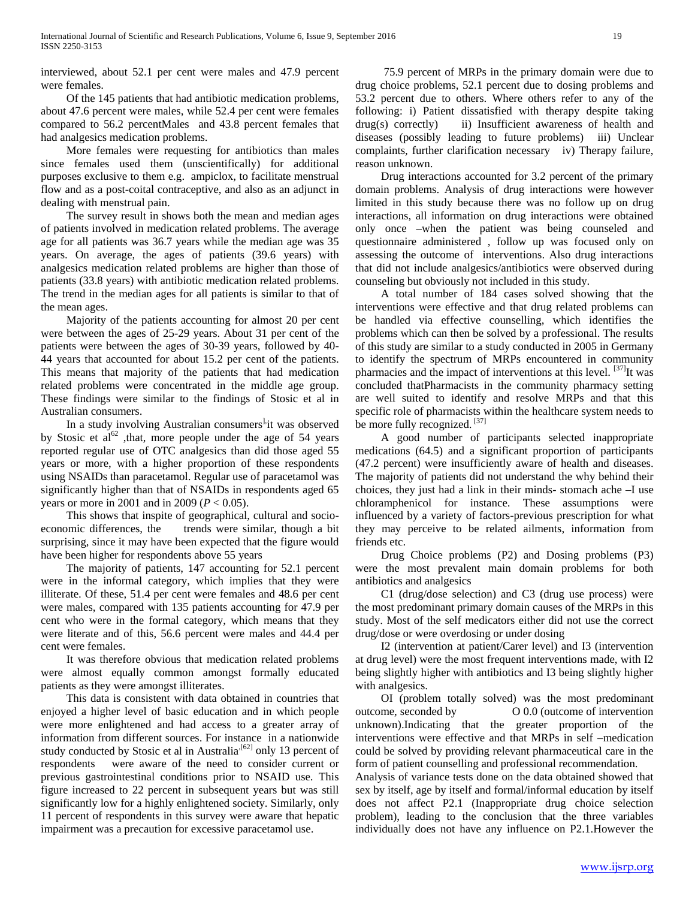interviewed, about 52.1 per cent were males and 47.9 percent were females.

 Of the 145 patients that had antibiotic medication problems, about 47.6 percent were males, while 52.4 per cent were females compared to 56.2 percentMales and 43.8 percent females that had analgesics medication problems.

 More females were requesting for antibiotics than males since females used them (unscientifically) for additional purposes exclusive to them e.g. ampiclox, to facilitate menstrual flow and as a post-coital contraceptive, and also as an adjunct in dealing with menstrual pain.

 The survey result in shows both the mean and median ages of patients involved in medication related problems. The average age for all patients was 36.7 years while the median age was 35 years. On average, the ages of patients (39.6 years) with analgesics medication related problems are higher than those of patients (33.8 years) with antibiotic medication related problems. The trend in the median ages for all patients is similar to that of the mean ages.

 Majority of the patients accounting for almost 20 per cent were between the ages of 25-29 years. About 31 per cent of the patients were between the ages of 30-39 years, followed by 40- 44 years that accounted for about 15.2 per cent of the patients. This means that majority of the patients that had medication related problems were concentrated in the middle age group. These findings were similar to the findings of Stosic et al in Australian consumers.

In a study involving Australian consumers<sup>1,</sup>it was observed by Stosic et al<sup>62</sup>, that, more people under the age of 54 years reported regular use of OTC analgesics than did those aged 55 years or more, with a higher proportion of these respondents using NSAIDs than paracetamol. Regular use of paracetamol was significantly higher than that of NSAIDs in respondents aged 65 years or more in 2001 and in 2009 (*P* < 0.05).

 This shows that inspite of geographical, cultural and socioeconomic differences, the trends were similar, though a bit surprising, since it may have been expected that the figure would have been higher for respondents above 55 years

 The majority of patients, 147 accounting for 52.1 percent were in the informal category, which implies that they were illiterate. Of these, 51.4 per cent were females and 48.6 per cent were males, compared with 135 patients accounting for 47.9 per cent who were in the formal category, which means that they were literate and of this, 56.6 percent were males and 44.4 per cent were females.

 It was therefore obvious that medication related problems were almost equally common amongst formally educated patients as they were amongst illiterates.

 This data is consistent with data obtained in countries that enjoyed a higher level of basic education and in which people were more enlightened and had access to a greater array of information from different sources. For instance in a nationwide study conducted by Stosic et al in Australia<sup> $[62]$ </sup> only 13 percent of respondents were aware of the need to consider current or previous gastrointestinal conditions prior to NSAID use. This figure increased to 22 percent in subsequent years but was still significantly low for a highly enlightened society. Similarly, only 11 percent of respondents in this survey were aware that hepatic impairment was a precaution for excessive paracetamol use.

 75.9 percent of MRPs in the primary domain were due to drug choice problems, 52.1 percent due to dosing problems and 53.2 percent due to others. Where others refer to any of the following: i) Patient dissatisfied with therapy despite taking drug(s) correctly) ii) Insufficient awareness of health and diseases (possibly leading to future problems) iii) Unclear complaints, further clarification necessary iv) Therapy failure, reason unknown.

 Drug interactions accounted for 3.2 percent of the primary domain problems. Analysis of drug interactions were however limited in this study because there was no follow up on drug interactions, all information on drug interactions were obtained only once –when the patient was being counseled and questionnaire administered , follow up was focused only on assessing the outcome of interventions. Also drug interactions that did not include analgesics/antibiotics were observed during counseling but obviously not included in this study.

 A total number of 184 cases solved showing that the interventions were effective and that drug related problems can be handled via effective counselling, which identifies the problems which can then be solved by a professional. The results of this study are similar to a study conducted in 2005 in Germany to identify the spectrum of MRPs encountered in community pharmacies and the impact of interventions at this level.  $[37]$ It was concluded thatPharmacists in the community pharmacy setting are well suited to identify and resolve MRPs and that this specific role of pharmacists within the healthcare system needs to be more fully recognized. [37]

 A good number of participants selected inappropriate medications (64.5) and a significant proportion of participants (47.2 percent) were insufficiently aware of health and diseases. The majority of patients did not understand the why behind their choices, they just had a link in their minds- stomach ache –I use chloramphenicol for instance. These assumptions were influenced by a variety of factors-previous prescription for what they may perceive to be related ailments, information from friends etc.

 Drug Choice problems (P2) and Dosing problems (P3) were the most prevalent main domain problems for both antibiotics and analgesics

 C1 (drug/dose selection) and C3 (drug use process) were the most predominant primary domain causes of the MRPs in this study. Most of the self medicators either did not use the correct drug/dose or were overdosing or under dosing

 I2 (intervention at patient/Carer level) and I3 (intervention at drug level) were the most frequent interventions made, with I2 being slightly higher with antibiotics and I3 being slightly higher with analgesics.

 OI (problem totally solved) was the most predominant outcome, seconded by O 0.0 (outcome of intervention unknown).Indicating that the greater proportion of the interventions were effective and that MRPs in self –medication could be solved by providing relevant pharmaceutical care in the form of patient counselling and professional recommendation.

Analysis of variance tests done on the data obtained showed that sex by itself, age by itself and formal/informal education by itself does not affect P2.1 (Inappropriate drug choice selection problem), leading to the conclusion that the three variables individually does not have any influence on P2.1.However the